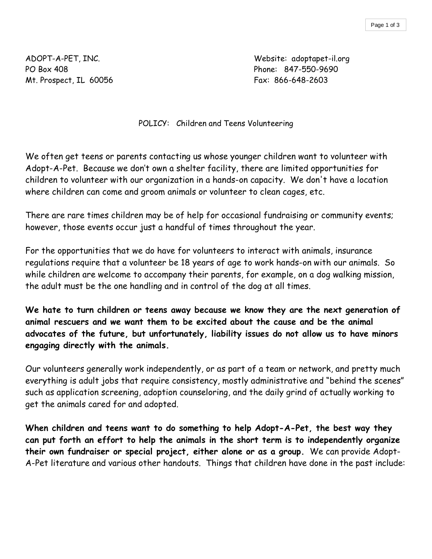PO Box 408 Phone: 847-550-9690 Mt. Prospect, IL 60056 Fax: 866-648-2603

ADOPT-A-PET, INC. Website: adoptapet-il.org

POLICY: Children and Teens Volunteering

We often get teens or parents contacting us whose younger children want to volunteer with Adopt-A-Pet. Because we don't own a shelter facility, there are limited opportunities for children to volunteer with our organization in a hands-on capacity. We don't have a location where children can come and groom animals or volunteer to clean cages, etc.

There are rare times children may be of help for occasional fundraising or community events; however, those events occur just a handful of times throughout the year.

For the opportunities that we do have for volunteers to interact with animals, insurance regulations require that a volunteer be 18 years of age to work hands-on with our animals. So while children are welcome to accompany their parents, for example, on a dog walking mission, the adult must be the one handling and in control of the dog at all times.

**We hate to turn children or teens away because we know they are the next generation of animal rescuers and we want them to be excited about the cause and be the animal advocates of the future, but unfortunately, liability issues do not allow us to have minors engaging directly with the animals.**

Our volunteers generally work independently, or as part of a team or network, and pretty much everything is adult jobs that require consistency, mostly administrative and "behind the scenes" such as application screening, adoption counseloring, and the daily grind of actually working to get the animals cared for and adopted.

**When children and teens want to do something to help Adopt-A-Pet, the best way they can put forth an effort to help the animals in the short term is to independently organize their own fundraiser or special project, either alone or as a group.** We can provide Adopt-A-Pet literature and various other handouts. Things that children have done in the past include: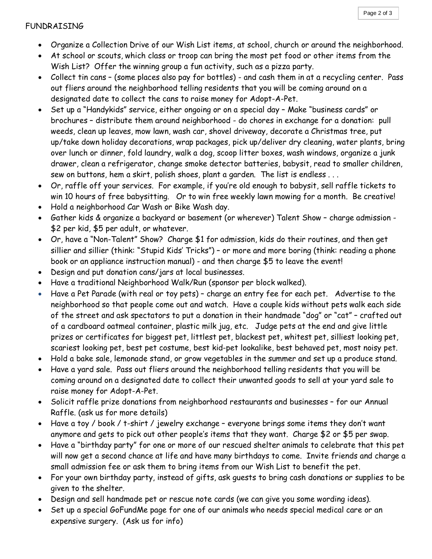## FUNDRAISING

- Organize a Collection Drive of our Wish List items, at school, church or around the neighborhood.
- At school or scouts, which class or troop can bring the most pet food or other items from the Wish List? Offer the winning group a fun activity, such as a pizza party.
- · Collect tin cans (some places also pay for bottles) and cash them in at a recycling center. Pass out fliers around the neighborhood telling residents that you will be coming around on a designated date to collect the cans to raise money for Adopt-A-Pet.
- Set up a "Handykids" service, either ongoing or on a special day Make "business cards" or brochures – distribute them around neighborhood - do chores in exchange for a donation: pull weeds, clean up leaves, mow lawn, wash car, shovel driveway, decorate a Christmas tree, put up/take down holiday decorations, wrap packages, pick up/deliver dry cleaning, water plants, bring over lunch or dinner, fold laundry, walk a dog, scoop litter boxes, wash windows, organize a junk drawer, clean a refrigerator, change smoke detector batteries, babysit, read to smaller children, sew on buttons, hem a skirt, polish shoes, plant a garden. The list is endless . . .
- · Or, raffle off your services. For example, if you're old enough to babysit, sell raffle tickets to win 10 hours of free babysitting. Or to win free weekly lawn mowing for a month. Be creative!
- · Hold a neighborhood Car Wash or Bike Wash day.
- · Gather kids & organize a backyard or basement (or wherever) Talent Show charge admission \$2 per kid, \$5 per adult, or whatever.
- · Or, have a "Non-Talent" Show? Charge \$1 for admission, kids do their routines, and then get sillier and sillier (think: "Stupid Kids' Tricks") – or more and more boring (think: reading a phone book or an appliance instruction manual) - and then charge \$5 to leave the event!
- · Design and put donation cans/jars at local businesses.
- · Have a traditional Neighborhood Walk/Run (sponsor per block walked).
- Have a Pet Parade (with real or toy pets) charge an entry fee for each pet. Advertise to the neighborhood so that people come out and watch. Have a couple kids without pets walk each side of the street and ask spectators to put a donation in their handmade "dog" or "cat" – crafted out of a cardboard oatmeal container, plastic milk jug, etc. Judge pets at the end and give little prizes or certificates for biggest pet, littlest pet, blackest pet, whitest pet, silliest looking pet, scariest looking pet, best pet costume, best kid-pet lookalike, best behaved pet, most noisy pet.
- · Hold a bake sale, lemonade stand, or grow vegetables in the summer and set up a produce stand.
- Have a yard sale. Pass out fliers around the neighborhood telling residents that you will be coming around on a designated date to collect their unwanted goods to sell at your yard sale to raise money for Adopt-A-Pet.
- Solicit raffle prize donations from neighborhood restaurants and businesses for our Annual Raffle. (ask us for more details)
- · Have a toy / book / t-shirt / jewelry exchange everyone brings some items they don't want anymore and gets to pick out other people's items that they want. Charge \$2 or \$5 per swap.
- · Have a "birthday party" for one or more of our rescued shelter animals to celebrate that this pet will now get a second chance at life and have many birthdays to come. Invite friends and charge a small admission fee or ask them to bring items from our Wish List to benefit the pet.
- For your own birthday party, instead of gifts, ask guests to bring cash donations or supplies to be given to the shelter.
- · Design and sell handmade pet or rescue note cards (we can give you some wording ideas).
- Set up a special GoFundMe page for one of our animals who needs special medical care or an expensive surgery. (Ask us for info)